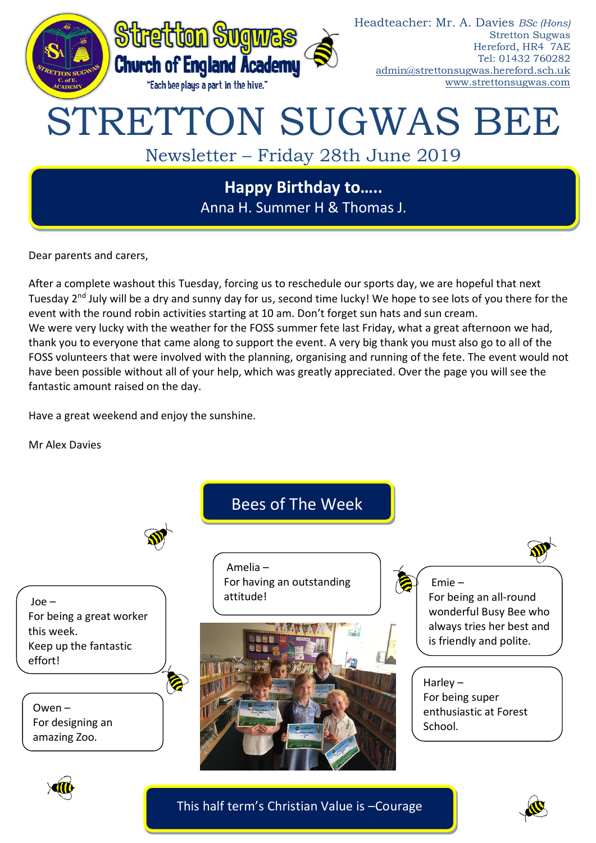

Dear parents and carers,

After a complete washout this Tuesday, forcing us to reschedule our sports day, we are hopeful that next Tuesday 2<sup>nd</sup> July will be a dry and sunny day for us, second time lucky! We hope to see lots of you there for the event with the round robin activities starting at 10 am. Don't forget sun hats and sun cream. We were very lucky with the weather for the FOSS summer fete last Friday, what a great afternoon we had, thank you to everyone that came along to support the event. A very big thank you must also go to all of the FOSS volunteers that were involved with the planning, organising and running of the fete. The event would not have been possible without all of your help, which was greatly appreciated. Over the page you will see the fantastic amount raised on the day.

Have a great weekend and enjoy the sunshine.

Mr Alex Davies



This half term's Christian Value is –Courage